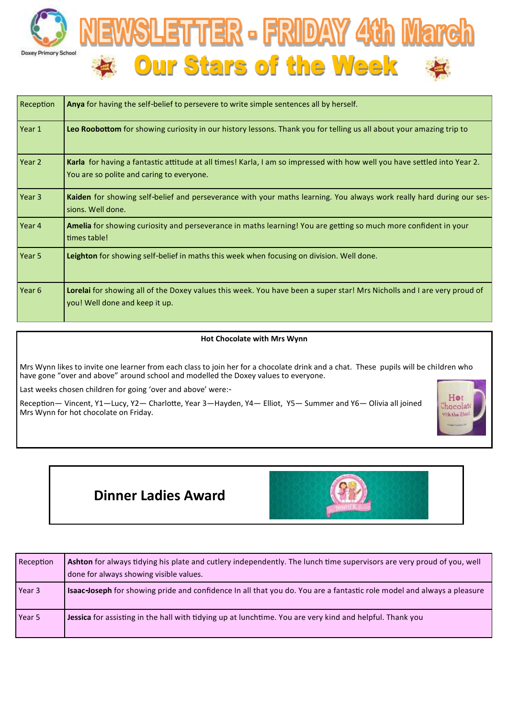



| Reception         | Anya for having the self-belief to persevere to write simple sentences all by herself.                                                                                |  |
|-------------------|-----------------------------------------------------------------------------------------------------------------------------------------------------------------------|--|
| Year 1            | Leo Roobottom for showing curiosity in our history lessons. Thank you for telling us all about your amazing trip to                                                   |  |
| Year 2            | Karla for having a fantastic attitude at all times! Karla, I am so impressed with how well you have settled into Year 2.<br>You are so polite and caring to everyone. |  |
| Year 3            | Kaiden for showing self-belief and perseverance with your maths learning. You always work really hard during our ses-<br>sions. Well done.                            |  |
| Year 4            | Amelia for showing curiosity and perseverance in maths learning! You are getting so much more confident in your<br>times table!                                       |  |
| Year 5            | Leighton for showing self-belief in maths this week when focusing on division. Well done.                                                                             |  |
| Year <sub>6</sub> | Lorelai for showing all of the Doxey values this week. You have been a super star! Mrs Nicholls and I are very proud of<br>you! Well done and keep it up.             |  |

### **Hot Chocolate with Mrs Wynn**

Mrs Wynn likes to invite one learner from each class to join her for a chocolate drink and a chat. These pupils will be children who have gone "over and above" around school and modelled the Doxey values to everyone.

Last weeks chosen children for going 'over and above' were:-

Reception— Vincent, Y1—Lucy, Y2— Charlotte, Year 3—Hayden, Y4— Elliot, Y5— Summer and Y6— Olivia all joined Mrs Wynn for hot chocolate on Friday.



# **Dinner Ladies Award**



| Reception | Ashton for always tidying his plate and cutlery independently. The lunch time supervisors are very proud of you, well<br>done for always showing visible values. |
|-----------|------------------------------------------------------------------------------------------------------------------------------------------------------------------|
| Year 3    | <b>Isaac-Joseph</b> for showing pride and confidence In all that you do. You are a fantastic role model and always a pleasure                                    |
| Year 5    | Jessica for assisting in the hall with tidying up at lunchtime. You are very kind and helpful. Thank you                                                         |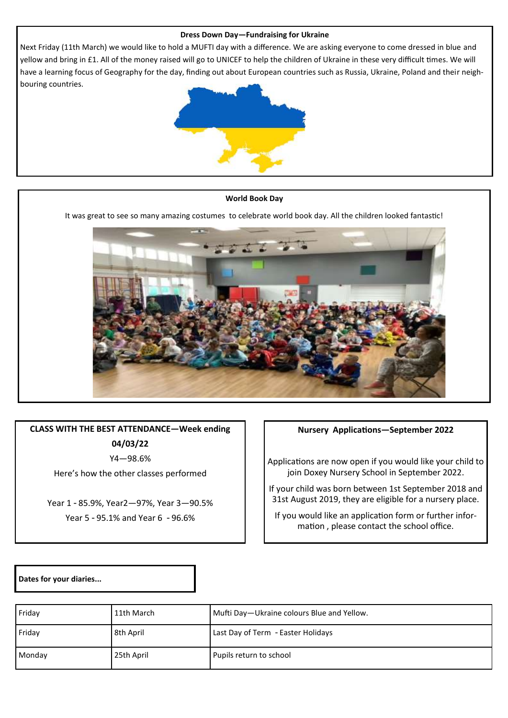# **Dress Down Day—Fundraising for Ukraine**

Next Friday (11th March) we would like to hold a MUFTI day with a difference. We are asking everyone to come dressed in blue and yellow and bring in £1. All of the money raised will go to UNICEF to help the children of Ukraine in these very difficult times. We will have a learning focus of Geography for the day, finding out about European countries such as Russia, Ukraine, Poland and their neighbouring countries.



#### **World Book Day**

It was great to see so many amazing costumes to celebrate world book day. All the children looked fantastic!



**CLASS WITH THE BEST ATTENDANCE—Week ending 04/03/22**

Y4—98.6%

Here's how the other classes performed

Year 1 - 85.9%, Year2—97%, Year 3—90.5% Year 5 - 95.1% and Year 6 - 96.6%

## **Nursery Applications—September 2022**

Applications are now open if you would like your child to join Doxey Nursery School in September 2022.

If your child was born between 1st September 2018 and 31st August 2019, they are eligible for a nursery place.

If you would like an application form or further information , please contact the school office.

**Dates for your diaries...**

| Friday | 11th March | Mufti Day-Ukraine colours Blue and Yellow. |
|--------|------------|--------------------------------------------|
| Friday | 8th April  | Last Day of Term - Easter Holidays         |
| Monday | 25th April | Pupils return to school                    |